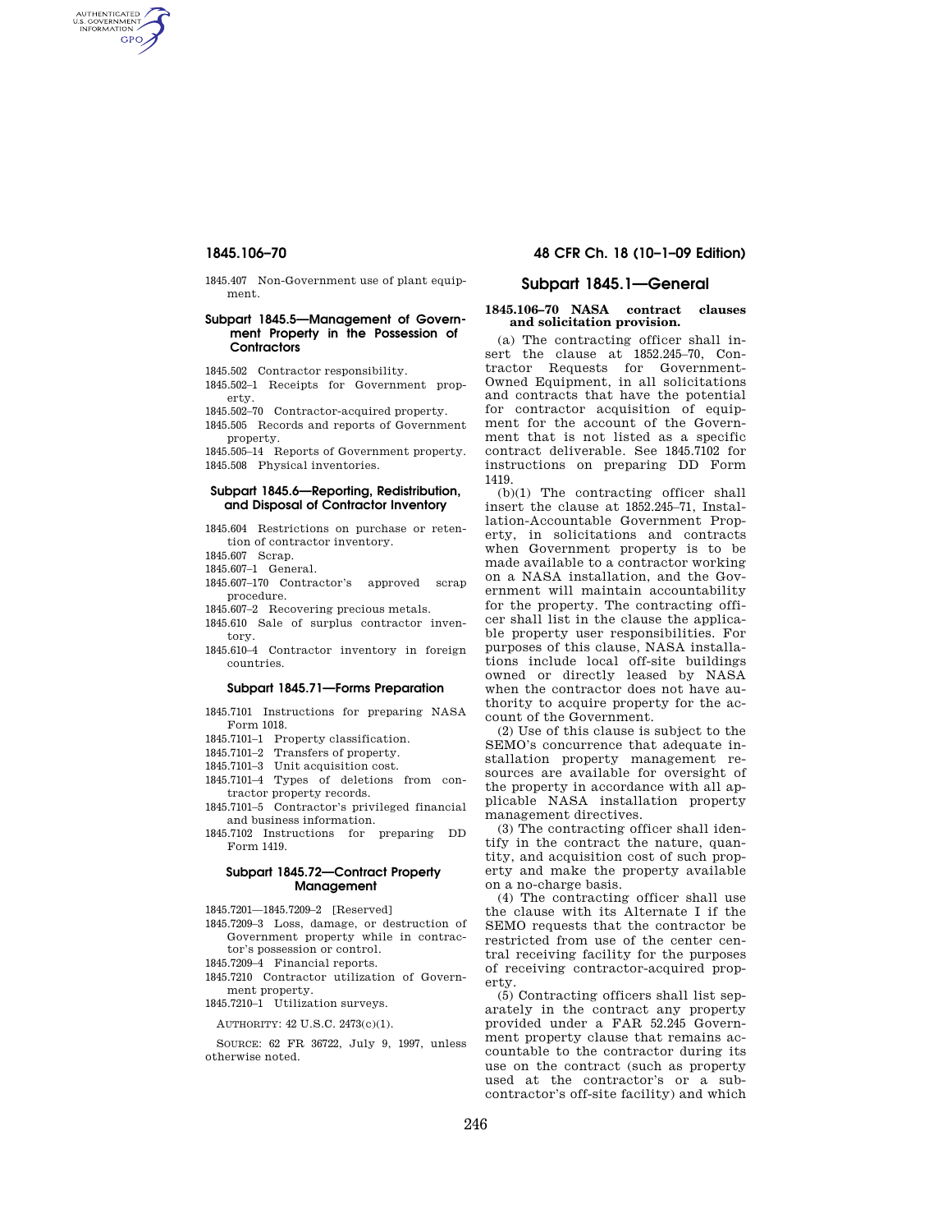AUTHENTICATED<br>U.S. GOVERNMENT<br>INFORMATION GPO

> 1845.407 Non-Government use of plant equipment.

## **Subpart 1845.5—Management of Government Property in the Possession of Contractors**

1845.502 Contractor responsibility.

1845.502–1 Receipts for Government property.

1845.502–70 Contractor-acquired property.

1845.505 Records and reports of Government property.

1845.505–14 Reports of Government property. 1845.508 Physical inventories.

## **Subpart 1845.6—Reporting, Redistribution, and Disposal of Contractor Inventory**

1845.604 Restrictions on purchase or retention of contractor inventory.

- 1845.607 Scrap.
- 1845.607–1 General.
- 1845.607–170 Contractor's approved scrap procedure.
- 1845.607–2 Recovering precious metals.
- 1845.610 Sale of surplus contractor inventory.
- 1845.610–4 Contractor inventory in foreign countries.

#### **Subpart 1845.71—Forms Preparation**

- 1845.7101 Instructions for preparing NASA Form 1018.
- 1845.7101–1 Property classification.
- 1845.7101–2 Transfers of property.
- 1845.7101–3 Unit acquisition cost.
- 1845.7101–4 Types of deletions from contractor property records.
- 1845.7101–5 Contractor's privileged financial and business information.
- 1845.7102 Instructions for preparing DD Form 1419.

# **Subpart 1845.72—Contract Property Management**

1845.7201—1845.7209–2 [Reserved]

- 1845.7209–3 Loss, damage, or destruction of Government property while in contractor's possession or control.
- 1845.7209–4 Financial reports.
- 1845.7210 Contractor utilization of Government property.
- 1845.7210–1 Utilization surveys.

AUTHORITY: 42 U.S.C. 2473(c)(1).

SOURCE: 62 FR 36722, July 9, 1997, unless otherwise noted.

# **1845.106–70 48 CFR Ch. 18 (10–1–09 Edition)**

# **Subpart 1845.1—General**

# **1845.106–70 NASA contract clauses and solicitation provision.**

(a) The contracting officer shall insert the clause at 1852.245–70, Contractor Requests for Government-Owned Equipment, in all solicitations and contracts that have the potential for contractor acquisition of equipment for the account of the Government that is not listed as a specific contract deliverable. See 1845.7102 for instructions on preparing DD Form 1419.

(b)(1) The contracting officer shall insert the clause at 1852.245–71, Installation-Accountable Government Property, in solicitations and contracts when Government property is to be made available to a contractor working on a NASA installation, and the Government will maintain accountability for the property. The contracting officer shall list in the clause the applicable property user responsibilities. For purposes of this clause, NASA installations include local off-site buildings owned or directly leased by NASA when the contractor does not have authority to acquire property for the account of the Government.

(2) Use of this clause is subject to the SEMO's concurrence that adequate installation property management resources are available for oversight of the property in accordance with all applicable NASA installation property management directives.

(3) The contracting officer shall identify in the contract the nature, quantity, and acquisition cost of such property and make the property available on a no-charge basis.

(4) The contracting officer shall use the clause with its Alternate I if the SEMO requests that the contractor be restricted from use of the center central receiving facility for the purposes of receiving contractor-acquired property.

(5) Contracting officers shall list separately in the contract any property provided under a FAR 52.245 Government property clause that remains accountable to the contractor during its use on the contract (such as property used at the contractor's or a subcontractor's off-site facility) and which